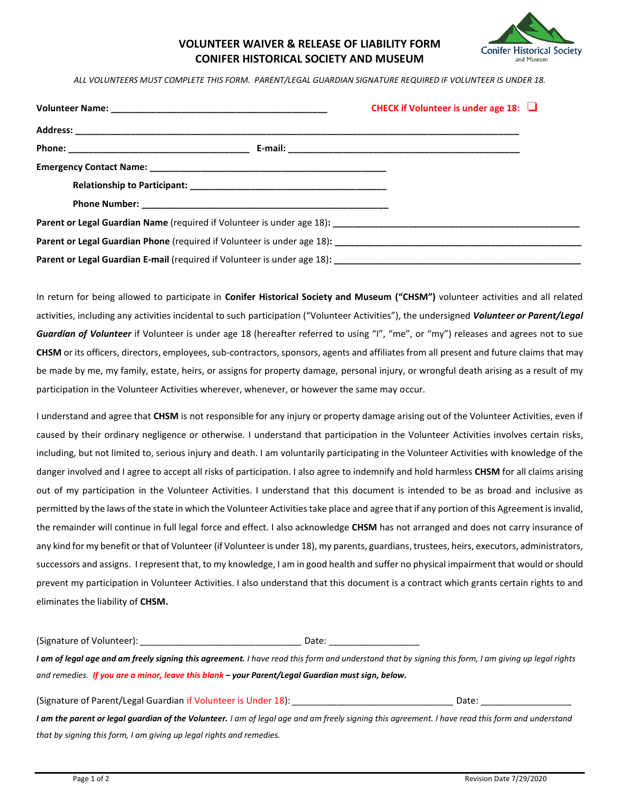

## **VOLUNTEER WAIVER & RELEASE OF LIABILITY FORM CONIFER HISTORICAL SOCIETY AND MUSEUM**

*ALL VOLUNTEERS MUST COMPLETE THIS FORM. PARENT/LEGAL GUARDIAN SIGNATURE REQUIRED IF VOLUNTEER IS UNDER 18.*

|  | CHECK if Volunteer is under age 18: $\Box$ |  |
|--|--------------------------------------------|--|
|  |                                            |  |
|  |                                            |  |
|  |                                            |  |
|  |                                            |  |
|  |                                            |  |
|  |                                            |  |
|  |                                            |  |
|  |                                            |  |

In return for being allowed to participate in **Conifer Historical Society and Museum ("CHSM")** volunteer activities and all related activities, including any activities incidental to such participation ("Volunteer Activities"), the undersigned *Volunteer or Parent/Legal Guardian of Volunteer* if Volunteer is under age 18 (hereafter referred to using "I", "me", or "my") releases and agrees not to sue **CHSM** or its officers, directors, employees, sub-contractors, sponsors, agents and affiliates from all present and future claims that may be made by me, my family, estate, heirs, or assigns for property damage, personal injury, or wrongful death arising as a result of my participation in the Volunteer Activities wherever, whenever, or however the same may occur.

I understand and agree that **CHSM** is not responsible for any injury or property damage arising out of the Volunteer Activities, even if caused by their ordinary negligence or otherwise. I understand that participation in the Volunteer Activities involves certain risks, including, but not limited to, serious injury and death. I am voluntarily participating in the Volunteer Activities with knowledge of the danger involved and I agree to accept all risks of participation. I also agree to indemnify and hold harmless **CHSM** for all claims arising out of my participation in the Volunteer Activities. I understand that this document is intended to be as broad and inclusive as permitted by the laws of the state in which the Volunteer Activities take place and agree that if any portion of this Agreement is invalid, the remainder will continue in full legal force and effect. I also acknowledge **CHSM** has not arranged and does not carry insurance of any kind for my benefit or that of Volunteer (if Volunteer is under 18), my parents, guardians, trustees, heirs, executors, administrators, successors and assigns. I represent that, to my knowledge, I am in good health and suffer no physical impairment that would or should prevent my participation in Volunteer Activities. I also understand that this document is a contract which grants certain rights to and eliminates the liability of **CHSM.**

(Signature of Volunteer): *\_\_\_\_\_\_\_\_\_\_\_\_\_\_\_\_\_\_\_\_\_\_\_\_\_\_\_\_\_\_\_\_* Date: \_\_\_\_\_\_\_\_\_\_\_\_\_\_\_\_\_\_

*I am of legal age and am freely signing this agreement. I have read this form and understand that by signing this form, I am giving up legal rights and remedies. If you are a minor, leave this blank – your Parent/Legal Guardian must sign, below.*

(Signature of Parent/Legal Guardian if Volunteer is Under 18): *\_\_\_\_\_\_\_\_\_\_\_\_\_\_\_\_\_\_\_\_\_\_\_\_\_\_\_\_\_\_\_\_* Date: \_\_\_\_\_\_\_\_\_\_\_\_\_\_\_\_\_\_

I am the parent or legal guardian of the Volunteer. I am of legal age and am freely signing this agreement. I have read this form and understand *that by signing this form, I am giving up legal rights and remedies.*